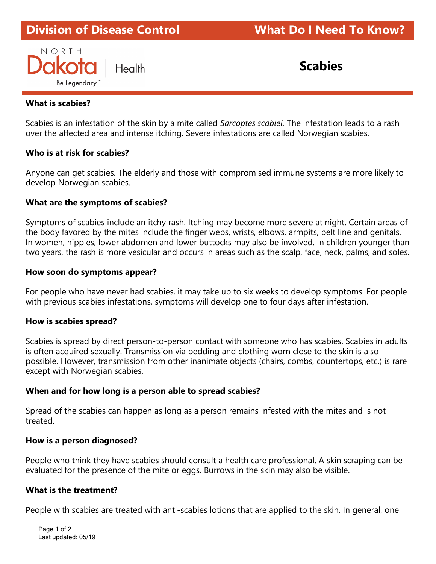# Division of Disease Control What Do I Need To Know?ł



## What is scabies?

Scabies is an infestation of the skin by a mite called Sarcoptes scabiei. The infestation leads to a rash over the affected area and intense itching. Severe infestations are called Norwegian scabies.

#### Who is at risk for scabies?

Anyone can get scabies. The elderly and those with compromised immune systems are more likely to develop Norwegian scabies.

#### What are the symptoms of scabies?

Symptoms of scabies include an itchy rash. Itching may become more severe at night. Certain areas of the body favored by the mites include the finger webs, wrists, elbows, armpits, belt line and genitals. In women, nipples, lower abdomen and lower buttocks may also be involved. In children younger than two years, the rash is more vesicular and occurs in areas such as the scalp, face, neck, palms, and soles.

#### How soon do symptoms appear?

For people who have never had scabies, it may take up to six weeks to develop symptoms. For people with previous scabies infestations, symptoms will develop one to four days after infestation.

#### How is scabies spread?

Scabies is spread by direct person-to-person contact with someone who has scabies. Scabies in adults is often acquired sexually. Transmission via bedding and clothing worn close to the skin is also possible. However, transmission from other inanimate objects (chairs, combs, countertops, etc.) is rare except with Norwegian scabies.

## When and for how long is a person able to spread scabies?

Spread of the scabies can happen as long as a person remains infested with the mites and is not treated.

#### How is a person diagnosed?

People who think they have scabies should consult a health care professional. A skin scraping can be evaluated for the presence of the mite or eggs. Burrows in the skin may also be visible.

## What is the treatment?

People with scabies are treated with anti-scabies lotions that are applied to the skin. In general, one